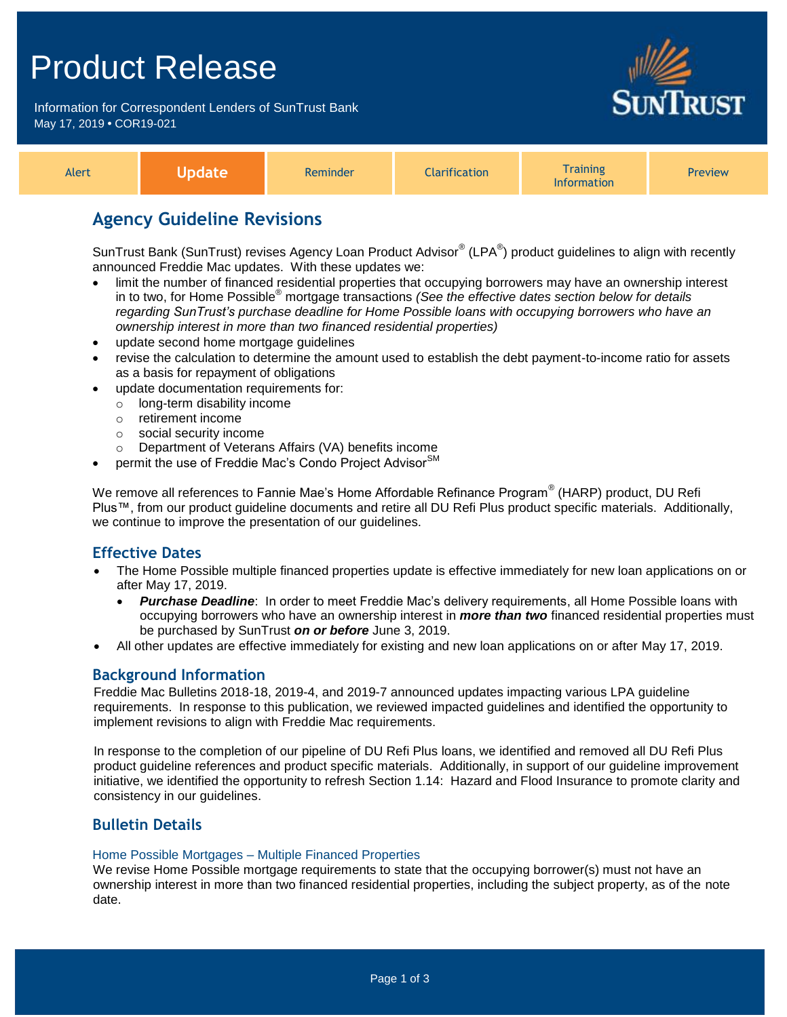## Product Release

Information for Correspondent Lenders of SunTrust Bank May 17, 2019 **•** COR19-021



| Alert | Vpdate | Reminder | <b>Clarification</b> | <i><b>Training</b></i><br><b>Information</b> | Preview |
|-------|--------|----------|----------------------|----------------------------------------------|---------|
|-------|--------|----------|----------------------|----------------------------------------------|---------|

## **Agency Guideline Revisions**

SunTrust Bank (SunTrust) revises Agency Loan Product Advisor® (LPA®) product guidelines to align with recently announced Freddie Mac updates. With these updates we:

- limit the number of financed residential properties that occupying borrowers may have an ownership interest in to two, for Home Possible® mortgage transactions *(See the effective dates section below for details regarding SunTrust's purchase deadline for Home Possible loans with occupying borrowers who have an ownership interest in more than two financed residential properties)*
- update second home mortgage guidelines
- revise the calculation to determine the amount used to establish the debt payment-to-income ratio for assets as a basis for repayment of obligations
- update documentation requirements for:
	- o long-term disability income
	- o retirement income
	- o social security income
	- o Department of Veterans Affairs (VA) benefits income
- permit the use of Freddie Mac's Condo Project Advisor<sup>SM</sup>

We remove all references to Fannie Mae's Home Affordable Refinance Program® (HARP) product, DU Refi Plus™, from our product guideline documents and retire all DU Refi Plus product specific materials. Additionally, we continue to improve the presentation of our guidelines.

## **Effective Dates**

- The Home Possible multiple financed properties update is effective immediately for new loan applications on or after May 17, 2019.
	- **Purchase Deadline**: In order to meet Freddie Mac's delivery requirements, all Home Possible loans with occupying borrowers who have an ownership interest in *more than two* financed residential properties must be purchased by SunTrust *on or before* June 3, 2019.
- All other updates are effective immediately for existing and new loan applications on or after May 17, 2019.

## **Background Information**

Freddie Mac Bulletins 2018-18, 2019-4, and 2019-7 announced updates impacting various LPA guideline requirements. In response to this publication, we reviewed impacted guidelines and identified the opportunity to implement revisions to align with Freddie Mac requirements.

In response to the completion of our pipeline of DU Refi Plus loans, we identified and removed all DU Refi Plus product guideline references and product specific materials. Additionally, in support of our guideline improvement initiative, we identified the opportunity to refresh Section 1.14: Hazard and Flood Insurance to promote clarity and consistency in our guidelines.

## **Bulletin Details**

#### Home Possible Mortgages – Multiple Financed Properties

We revise Home Possible mortgage requirements to state that the occupying borrower(s) must not have an ownership interest in more than two financed residential properties, including the subject property, as of the note date.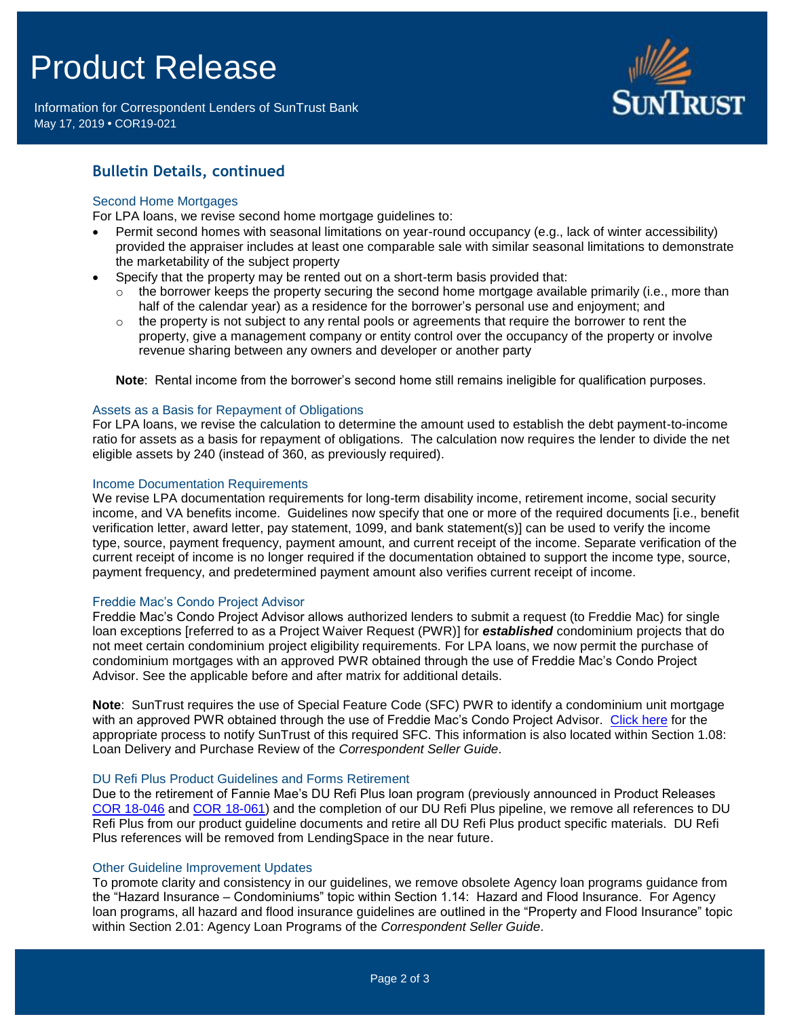# Product Release

Information for Correspondent Lenders of SunTrust Bank May 17, 2019 **•** COR19-021



## **Bulletin Details, continued**

#### Second Home Mortgages

For LPA loans, we revise second home mortgage guidelines to:

- Permit second homes with seasonal limitations on year-round occupancy (e.g., lack of winter accessibility) provided the appraiser includes at least one comparable sale with similar seasonal limitations to demonstrate the marketability of the subject property
- Specify that the property may be rented out on a short-term basis provided that:
	- $\circ$  the borrower keeps the property securing the second home mortgage available primarily (i.e., more than half of the calendar year) as a residence for the borrower's personal use and enjoyment; and
	- the property is not subject to any rental pools or agreements that require the borrower to rent the property, give a management company or entity control over the occupancy of the property or involve revenue sharing between any owners and developer or another party

**Note**: Rental income from the borrower's second home still remains ineligible for qualification purposes.

#### Assets as a Basis for Repayment of Obligations

For LPA loans, we revise the calculation to determine the amount used to establish the debt payment-to-income ratio for assets as a basis for repayment of obligations. The calculation now requires the lender to divide the net eligible assets by 240 (instead of 360, as previously required).

#### Income Documentation Requirements

We revise LPA documentation requirements for long-term disability income, retirement income, social security income, and VA benefits income. Guidelines now specify that one or more of the required documents [i.e., benefit verification letter, award letter, pay statement, 1099, and bank statement(s)] can be used to verify the income type, source, payment frequency, payment amount, and current receipt of the income. Separate verification of the current receipt of income is no longer required if the documentation obtained to support the income type, source, payment frequency, and predetermined payment amount also verifies current receipt of income.

#### Freddie Mac's Condo Project Advisor

Freddie Mac's Condo Project Advisor allows authorized lenders to submit a request (to Freddie Mac) for single loan exceptions [referred to as a Project Waiver Request (PWR)] for *established* condominium projects that do not meet certain condominium project eligibility requirements. For LPA loans, we now permit the purchase of condominium mortgages with an approved PWR obtained through the use of Freddie Mac's Condo Project Advisor. See the applicable before and after matrix for additional details.

**Note**: SunTrust requires the use of Special Feature Code (SFC) PWR to identify a condominium unit mortgage with an approved PWR obtained through the use of Freddie Mac's Condo Project Advisor. [Click here](https://www.truistsellerguide.com/manual/cor/general/Instructions%20for%20Entering%20SFCs.pdf) for the appropriate process to notify SunTrust of this required SFC. This information is also located within Section 1.08: Loan Delivery and Purchase Review of the *Correspondent Seller Guide*.

#### DU Refi Plus Product Guidelines and Forms Retirement

Due to the retirement of Fannie Mae's DU Refi Plus loan program (previously announced in Product Releases [COR 18-046](https://www.truistsellerguide.com/Manual/cor/bulletins/archive/Cr18-046.pdf) and [COR 18-061\)](https://www.truistsellerguide.com/Manual/cor/bulletins/archive/Cr18-061.pdf) and the completion of our DU Refi Plus pipeline, we remove all references to DU Refi Plus from our product guideline documents and retire all DU Refi Plus product specific materials. DU Refi Plus references will be removed from LendingSpace in the near future.

#### Other Guideline Improvement Updates

To promote clarity and consistency in our guidelines, we remove obsolete Agency loan programs guidance from the "Hazard Insurance – Condominiums" topic within Section 1.14: Hazard and Flood Insurance. For Agency loan programs, all hazard and flood insurance guidelines are outlined in the "Property and Flood Insurance" topic within Section 2.01: Agency Loan Programs of the *Correspondent Seller Guide*.